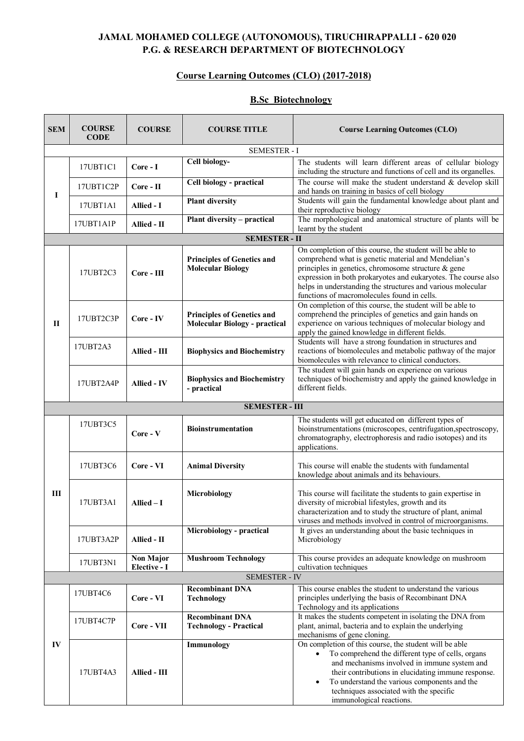### **JAMAL MOHAMED COLLEGE (AUTONOMOUS), TIRUCHIRAPPALLI - 620 020 P.G. & RESEARCH DEPARTMENT OF BIOTECHNOLOGY**

#### **Course Learning Outcomes (CLO) (2017-2018)**

#### **B.Sc Biotechnology**

| <b>SEM</b>   | <b>COURSE</b><br><b>CODE</b> | <b>COURSE</b>                    | <b>COURSE TITLE</b>                                                                                                                                                                                                   | <b>Course Learning Outcomes (CLO)</b>                                                                                                                                                                                                                                                                                                                   |  |  |
|--------------|------------------------------|----------------------------------|-----------------------------------------------------------------------------------------------------------------------------------------------------------------------------------------------------------------------|---------------------------------------------------------------------------------------------------------------------------------------------------------------------------------------------------------------------------------------------------------------------------------------------------------------------------------------------------------|--|--|
|              | <b>SEMESTER - I</b>          |                                  |                                                                                                                                                                                                                       |                                                                                                                                                                                                                                                                                                                                                         |  |  |
|              | 17UBT1C1                     | Core - I                         | Cell biology-                                                                                                                                                                                                         | The students will learn different areas of cellular biology<br>including the structure and functions of cell and its organelles.                                                                                                                                                                                                                        |  |  |
| I            | 17UBT1C2P                    | Core - II                        | Cell biology - practical                                                                                                                                                                                              | The course will make the student understand $&$ develop skill<br>and hands on training in basics of cell biology                                                                                                                                                                                                                                        |  |  |
|              | 17UBT1A1                     | Allied - I                       | Students will gain the fundamental knowledge about plant and<br><b>Plant diversity</b><br>their reproductive biology                                                                                                  |                                                                                                                                                                                                                                                                                                                                                         |  |  |
|              | 17UBT1A1P                    | Allied - II                      | Plant diversity - practical                                                                                                                                                                                           | The morphological and anatomical structure of plants will be<br>learnt by the student                                                                                                                                                                                                                                                                   |  |  |
|              | <b>SEMESTER - II</b>         |                                  |                                                                                                                                                                                                                       |                                                                                                                                                                                                                                                                                                                                                         |  |  |
|              | 17UBT2C3                     | Core - III                       | <b>Principles of Genetics and</b><br><b>Molecular Biology</b>                                                                                                                                                         | On completion of this course, the student will be able to<br>comprehend what is genetic material and Mendelian's<br>principles in genetics, chromosome structure & gene<br>expression in both prokaryotes and eukaryotes. The course also<br>helps in understanding the structures and various molecular<br>functions of macromolecules found in cells. |  |  |
| $\mathbf{I}$ | 17UBT2C3P                    | Core - IV                        | <b>Principles of Genetics and</b><br><b>Molecular Biology - practical</b>                                                                                                                                             | On completion of this course, the student will be able to<br>comprehend the principles of genetics and gain hands on<br>experience on various techniques of molecular biology and<br>apply the gained knowledge in different fields.                                                                                                                    |  |  |
|              | 17UBT2A3                     | Allied - III                     | Students will have a strong foundation in structures and<br>reactions of biomolecules and metabolic pathway of the major<br><b>Biophysics and Biochemistry</b><br>biomolecules with relevance to clinical conductors. |                                                                                                                                                                                                                                                                                                                                                         |  |  |
|              | 17UBT2A4P                    | <b>Allied - IV</b>               | <b>Biophysics and Biochemistry</b><br>- practical                                                                                                                                                                     | The student will gain hands on experience on various<br>techniques of biochemistry and apply the gained knowledge in<br>different fields.                                                                                                                                                                                                               |  |  |
|              | <b>SEMESTER - III</b>        |                                  |                                                                                                                                                                                                                       |                                                                                                                                                                                                                                                                                                                                                         |  |  |
|              | 17UBT3C5                     | Core - V                         | <b>Bioinstrumentation</b>                                                                                                                                                                                             | The students will get educated on different types of<br>bioinstrumentations (microscopes, centrifugation, spectroscopy,<br>chromatography, electrophoresis and radio isotopes) and its<br>applications.                                                                                                                                                 |  |  |
|              | 17UBT3C6                     | Core - VI                        | <b>Animal Diversity</b>                                                                                                                                                                                               | This course will enable the students with fundamental<br>knowledge about animals and its behaviours.                                                                                                                                                                                                                                                    |  |  |
| Ш            | 17UBT3A1                     | $Allied-I$                       | Microbiology                                                                                                                                                                                                          | This course will facilitate the students to gain expertise in<br>diversity of microbial lifestyles, growth and its<br>characterization and to study the structure of plant, animal<br>viruses and methods involved in control of microorganisms.                                                                                                        |  |  |
|              | 17UBT3A2P                    | Allied - II                      | Microbiology - practical                                                                                                                                                                                              | It gives an understanding about the basic techniques in<br>Microbiology                                                                                                                                                                                                                                                                                 |  |  |
|              | 17UBT3N1                     | <b>Non Major</b><br>Elective - I | <b>Mushroom Technology</b>                                                                                                                                                                                            | This course provides an adequate knowledge on mushroom<br>cultivation techniques                                                                                                                                                                                                                                                                        |  |  |
|              |                              |                                  | <b>SEMESTER - IV</b>                                                                                                                                                                                                  |                                                                                                                                                                                                                                                                                                                                                         |  |  |
|              | 17UBT4C6                     | Core - VI                        | <b>Recombinant DNA</b><br><b>Technology</b>                                                                                                                                                                           | This course enables the student to understand the various<br>principles underlying the basis of Recombinant DNA<br>Technology and its applications                                                                                                                                                                                                      |  |  |
|              | 17UBT4C7P                    | Core - VII                       | <b>Recombinant DNA</b><br><b>Technology - Practical</b>                                                                                                                                                               | It makes the students competent in isolating the DNA from<br>plant, animal, bacteria and to explain the underlying<br>mechanisms of gene cloning.                                                                                                                                                                                                       |  |  |
| IV           | 17UBT4A3                     | <b>Allied - III</b>              | <b>Immunology</b>                                                                                                                                                                                                     | On completion of this course, the student will be able<br>To comprehend the different type of cells, organs<br>and mechanisms involved in immune system and<br>their contributions in elucidating immune response.<br>To understand the various components and the<br>$\bullet$<br>techniques associated with the specific<br>immunological reactions.  |  |  |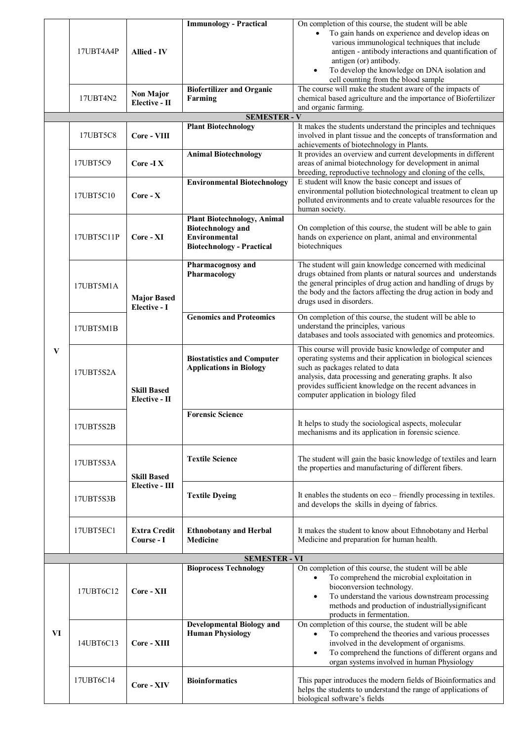|                                                   | 17UBT4A4P                                                      |                     | <b>Immunology - Practical</b>                                  | On completion of this course, the student will be able                                                                    |
|---------------------------------------------------|----------------------------------------------------------------|---------------------|----------------------------------------------------------------|---------------------------------------------------------------------------------------------------------------------------|
|                                                   |                                                                | <b>Allied - IV</b>  |                                                                | To gain hands on experience and develop ideas on                                                                          |
|                                                   |                                                                |                     |                                                                | various immunological techniques that include                                                                             |
|                                                   |                                                                |                     |                                                                | antigen - antibody interactions and quantification of<br>antigen (or) antibody.                                           |
|                                                   |                                                                |                     |                                                                | To develop the knowledge on DNA isolation and                                                                             |
|                                                   |                                                                |                     |                                                                | cell counting from the blood sample                                                                                       |
|                                                   |                                                                | <b>Non Major</b>    | <b>Biofertilizer and Organic</b>                               | The course will make the student aware of the impacts of                                                                  |
|                                                   | 17UBT4N2                                                       | Elective - II       | Farming                                                        | chemical based agriculture and the importance of Biofertilizer                                                            |
|                                                   |                                                                |                     |                                                                | and organic farming.                                                                                                      |
| <b>SEMESTER - V</b><br><b>Plant Biotechnology</b> |                                                                |                     |                                                                | It makes the students understand the principles and techniques                                                            |
|                                                   | 17UBT5C8                                                       | Core - VIII         |                                                                | involved in plant tissue and the concepts of transformation and                                                           |
|                                                   |                                                                |                     |                                                                | achievements of biotechnology in Plants.                                                                                  |
|                                                   |                                                                |                     | <b>Animal Biotechnology</b>                                    | It provides an overview and current developments in different                                                             |
|                                                   | 17UBT5C9                                                       | Core -IX            |                                                                | areas of animal biotechnology for development in animal<br>breeding, reproductive technology and cloning of the cells,    |
|                                                   |                                                                |                     | <b>Environmental Biotechnology</b>                             | E student will know the basic concept and issues of                                                                       |
|                                                   | 17UBT5C10                                                      | $Core - X$          |                                                                | environmental pollution biotechnological treatment to clean up                                                            |
|                                                   |                                                                |                     |                                                                | polluted environments and to create valuable resources for the                                                            |
|                                                   |                                                                |                     |                                                                | human society.                                                                                                            |
|                                                   |                                                                |                     | <b>Plant Biotechnology, Animal</b><br><b>Biotechnology</b> and | On completion of this course, the student will be able to gain                                                            |
|                                                   | 17UBT5C11P                                                     | Core - XI           | <b>Environmental</b>                                           | hands on experience on plant, animal and environmental                                                                    |
|                                                   |                                                                |                     | <b>Biotechnology - Practical</b>                               | biotechniques                                                                                                             |
|                                                   |                                                                |                     |                                                                |                                                                                                                           |
|                                                   |                                                                |                     | Pharmacognosy and                                              | The student will gain knowledge concerned with medicinal<br>drugs obtained from plants or natural sources and understands |
|                                                   |                                                                |                     | Pharmacology                                                   | the general principles of drug action and handling of drugs by                                                            |
|                                                   | 17UBT5M1A                                                      |                     |                                                                | the body and the factors affecting the drug action in body and                                                            |
|                                                   |                                                                | <b>Major Based</b>  |                                                                | drugs used in disorders.                                                                                                  |
|                                                   |                                                                | Elective - I        | <b>Genomics and Proteomics</b>                                 | On completion of this course, the student will be able to                                                                 |
|                                                   | 17UBT5M1B                                                      |                     |                                                                | understand the principles, various                                                                                        |
|                                                   |                                                                |                     |                                                                | databases and tools associated with genomics and proteomics.                                                              |
| V                                                 |                                                                |                     |                                                                | This course will provide basic knowledge of computer and                                                                  |
|                                                   | 17UBT5S2A                                                      |                     | <b>Biostatistics and Computer</b>                              | operating systems and their application in biological sciences                                                            |
|                                                   |                                                                |                     | <b>Applications in Biology</b>                                 | such as packages related to data                                                                                          |
|                                                   |                                                                |                     |                                                                | analysis, data processing and generating graphs. It also                                                                  |
|                                                   |                                                                | <b>Skill Based</b>  |                                                                | provides sufficient knowledge on the recent advances in<br>computer application in biology filed                          |
|                                                   |                                                                | Elective - II       |                                                                |                                                                                                                           |
|                                                   |                                                                |                     | <b>Forensic Science</b>                                        |                                                                                                                           |
|                                                   | 17UBT5S2B                                                      |                     |                                                                | It helps to study the sociological aspects, molecular                                                                     |
|                                                   |                                                                |                     |                                                                | mechanisms and its application in forensic science.                                                                       |
|                                                   |                                                                |                     |                                                                |                                                                                                                           |
|                                                   | 17UBT5S3A<br><b>Skill Based</b><br>Elective - III<br>17UBT5S3B |                     | <b>Textile Science</b>                                         | The student will gain the basic knowledge of textiles and learn                                                           |
|                                                   |                                                                |                     |                                                                | the properties and manufacturing of different fibers.                                                                     |
|                                                   |                                                                |                     |                                                                |                                                                                                                           |
|                                                   |                                                                |                     | <b>Textile Dyeing</b>                                          | It enables the students on eco – friendly processing in textiles.                                                         |
|                                                   |                                                                |                     |                                                                | and develops the skills in dyeing of fabrics.                                                                             |
|                                                   |                                                                |                     |                                                                |                                                                                                                           |
|                                                   | 17UBT5EC1                                                      | <b>Extra Credit</b> |                                                                |                                                                                                                           |
|                                                   |                                                                | Course - I          | <b>Ethnobotany and Herbal</b><br><b>Medicine</b>               | It makes the student to know about Ethnobotany and Herbal<br>Medicine and preparation for human health.                   |
|                                                   |                                                                |                     |                                                                |                                                                                                                           |
|                                                   |                                                                |                     | <b>SEMESTER - VI</b>                                           |                                                                                                                           |
|                                                   |                                                                |                     | <b>Bioprocess Technology</b>                                   | On completion of this course, the student will be able                                                                    |
|                                                   |                                                                |                     |                                                                | To comprehend the microbial exploitation in<br>bioconversion technology.                                                  |
|                                                   | 17UBT6C12                                                      | Core - XII          |                                                                | To understand the various downstream processing<br>$\bullet$                                                              |
|                                                   |                                                                |                     |                                                                | methods and production of industriallysignificant                                                                         |
|                                                   |                                                                |                     |                                                                | products in fermentation.                                                                                                 |
|                                                   |                                                                | $Core - XIII$       | <b>Developmental Biology and</b>                               | On completion of this course, the student will be able                                                                    |
| VI                                                | 14UBT6C13                                                      |                     | <b>Human Physiology</b>                                        | To comprehend the theories and various processes<br>involved in the development of organisms.                             |
|                                                   |                                                                |                     |                                                                | To comprehend the functions of different organs and                                                                       |
|                                                   |                                                                |                     |                                                                | organ systems involved in human Physiology                                                                                |
|                                                   |                                                                |                     |                                                                |                                                                                                                           |
|                                                   | 17UBT6C14                                                      | Core - XIV          | <b>Bioinformatics</b>                                          | This paper introduces the modern fields of Bioinformatics and                                                             |
|                                                   |                                                                |                     |                                                                | helps the students to understand the range of applications of<br>biological software's fields                             |
|                                                   |                                                                |                     |                                                                |                                                                                                                           |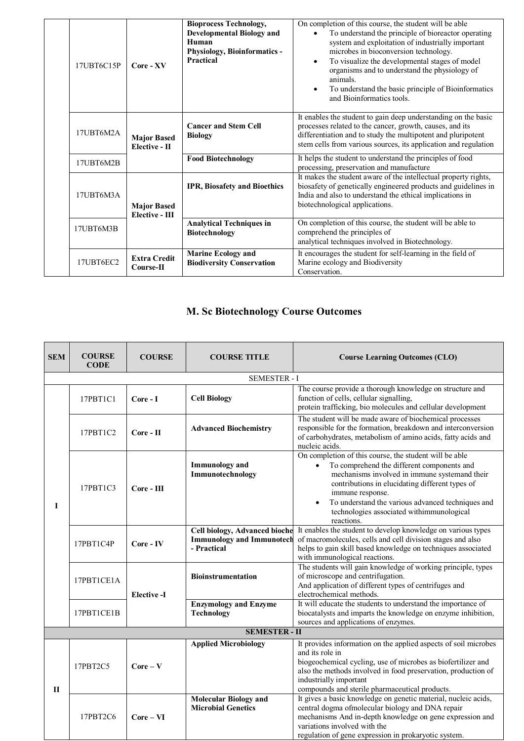| 17UBT6C15P | Core - XV                            | <b>Bioprocess Technology,</b><br><b>Developmental Biology and</b><br>Human<br>Physiology, Bioinformatics -<br><b>Practical</b> | On completion of this course, the student will be able<br>To understand the principle of bioreactor operating<br>$\bullet$<br>system and exploitation of industrially important<br>microbes in bioconversion technology.<br>To visualize the developmental stages of model<br>$\bullet$<br>organisms and to understand the physiology of<br>animals<br>To understand the basic principle of Bioinformatics<br>$\bullet$<br>and Bioinformatics tools. |
|------------|--------------------------------------|--------------------------------------------------------------------------------------------------------------------------------|------------------------------------------------------------------------------------------------------------------------------------------------------------------------------------------------------------------------------------------------------------------------------------------------------------------------------------------------------------------------------------------------------------------------------------------------------|
| 17UBT6M2A  | <b>Major Based</b><br>Elective - II  | <b>Cancer and Stem Cell</b><br><b>Biology</b>                                                                                  | It enables the student to gain deep understanding on the basic<br>processes related to the cancer, growth, causes, and its<br>differentiation and to study the multipotent and pluripotent<br>stem cells from various sources, its application and regulation                                                                                                                                                                                        |
| 17UBT6M2B  |                                      | <b>Food Biotechnology</b>                                                                                                      | It helps the student to understand the principles of food<br>processing, preservation and manufacture                                                                                                                                                                                                                                                                                                                                                |
| 17UBT6M3A  | <b>Major Based</b><br>Elective - III | <b>IPR, Biosafety and Bioethics</b>                                                                                            | It makes the student aware of the intellectual property rights,<br>biosafety of genetically engineered products and guidelines in<br>India and also to understand the ethical implications in<br>biotechnological applications.                                                                                                                                                                                                                      |
| 17UBT6M3B  |                                      | <b>Analytical Techniques in</b><br><b>Biotechnology</b>                                                                        | On completion of this course, the student will be able to<br>comprehend the principles of<br>analytical techniques involved in Biotechnology.                                                                                                                                                                                                                                                                                                        |
| 17UBT6EC2  | <b>Extra Credit</b><br>Course-II     | <b>Marine Ecology and</b><br><b>Biodiversity Conservation</b>                                                                  | It encourages the student for self-learning in the field of<br>Marine ecology and Biodiversity<br>Conservation.                                                                                                                                                                                                                                                                                                                                      |

# **M. Sc Biotechnology Course Outcomes**

| <b>SEM</b> | <b>COURSE</b><br><b>CODE</b> | <b>COURSE</b>      | <b>COURSE TITLE</b>                                       | <b>Course Learning Outcomes (CLO)</b>                                                                                                                                                                                                                                                                                                                     |  |  |
|------------|------------------------------|--------------------|-----------------------------------------------------------|-----------------------------------------------------------------------------------------------------------------------------------------------------------------------------------------------------------------------------------------------------------------------------------------------------------------------------------------------------------|--|--|
|            | <b>SEMESTER - I</b>          |                    |                                                           |                                                                                                                                                                                                                                                                                                                                                           |  |  |
|            | 17PBT1C1                     | Core - I           | <b>Cell Biology</b>                                       | The course provide a thorough knowledge on structure and<br>function of cells, cellular signalling,<br>protein trafficking, bio molecules and cellular development                                                                                                                                                                                        |  |  |
|            | 17PBT1C2                     | $Core - II$        | <b>Advanced Biochemistry</b>                              | The student will be made aware of biochemical processes<br>responsible for the formation, breakdown and interconversion<br>of carbohydrates, metabolism of amino acids, fatty acids and<br>nucleic acids.                                                                                                                                                 |  |  |
| I          | 17PBT1C3                     | $Core - III$       | <b>Immunology</b> and<br>Immunotechnology                 | On completion of this course, the student will be able<br>To comprehend the different components and<br>$\bullet$<br>mechanisms involved in immune systemand their<br>contributions in elucidating different types of<br>immune response.<br>To understand the various advanced techniques and<br>technologies associated withimmunological<br>reactions. |  |  |
|            | 17PBT1C4P                    | Core - IV          | <b>Immunology and Immunotech</b><br>- Practical           | Cell biology, Advanced bioche It enables the student to develop knowledge on various types<br>of macromolecules, cells and cell division stages and also<br>helps to gain skill based knowledge on techniques associated<br>with immunological reactions.                                                                                                 |  |  |
|            | 17PBT1CE1A                   | <b>Elective -I</b> | <b>Bioinstrumentation</b>                                 | The students will gain knowledge of working principle, types<br>of microscope and centrifugation.<br>And application of different types of centrifuges and<br>electrochemical methods.                                                                                                                                                                    |  |  |
|            | 17PBT1CE1B                   |                    | <b>Enzymology and Enzyme</b><br><b>Technology</b>         | It will educate the students to understand the importance of<br>biocatalysts and imparts the knowledge on enzyme inhibition,<br>sources and applications of enzymes.                                                                                                                                                                                      |  |  |
|            |                              |                    | <b>SEMESTER - II</b>                                      |                                                                                                                                                                                                                                                                                                                                                           |  |  |
| П          | 17PBT2C5                     | $Core - V$         | <b>Applied Microbiology</b>                               | It provides information on the applied aspects of soil microbes<br>and its role in<br>biogeochemical cycling, use of microbes as biofertilizer and<br>also the methods involved in food preservation, production of<br>industrially important<br>compounds and sterile pharmaceutical products.                                                           |  |  |
|            | 17PBT2C6                     | $Core - VI$        | <b>Molecular Biology and</b><br><b>Microbial Genetics</b> | It gives a basic knowledge on genetic material, nucleic acids,<br>central dogma ofmolecular biology and DNA repair<br>mechanisms And in-depth knowledge on gene expression and<br>variations involved with the<br>regulation of gene expression in prokaryotic system.                                                                                    |  |  |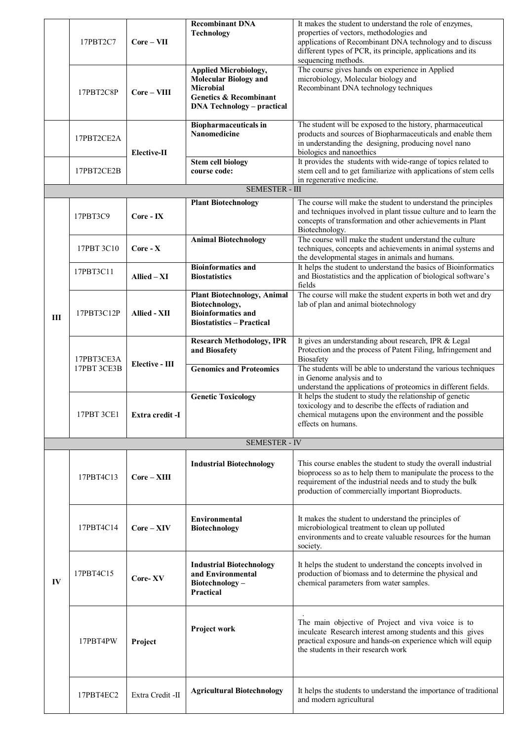|                | 17PBT2C7    | $Core - VII$                                                                                                                                 | <b>Recombinant DNA</b><br><b>Technology</b>                                                                                                                | It makes the student to understand the role of enzymes,<br>properties of vectors, methodologies and<br>applications of Recombinant DNA technology and to discuss<br>different types of PCR, its principle, applications and its<br>sequencing methods. |  |
|----------------|-------------|----------------------------------------------------------------------------------------------------------------------------------------------|------------------------------------------------------------------------------------------------------------------------------------------------------------|--------------------------------------------------------------------------------------------------------------------------------------------------------------------------------------------------------------------------------------------------------|--|
|                | 17PBT2C8P   | $Core - VIII$                                                                                                                                | <b>Applied Microbiology,</b><br><b>Molecular Biology and</b><br><b>Microbial</b><br><b>Genetics &amp; Recombinant</b><br><b>DNA Technology - practical</b> | The course gives hands on experience in Applied<br>microbiology, Molecular biology and<br>Recombinant DNA technology techniques                                                                                                                        |  |
|                | 17PBT2CE2A  | <b>Elective-II</b>                                                                                                                           | <b>Biopharmaceuticals in</b><br>Nanomedicine                                                                                                               | The student will be exposed to the history, pharmaceutical<br>products and sources of Biopharmaceuticals and enable them<br>in understanding the designing, producing novel nano<br>biologics and nanoethics                                           |  |
|                | 17PBT2CE2B  |                                                                                                                                              | <b>Stem cell biology</b><br>course code:                                                                                                                   | It provides the students with wide-range of topics related to<br>stem cell and to get familiarize with applications of stem cells<br>in regenerative medicine.                                                                                         |  |
|                |             |                                                                                                                                              | <b>SEMESTER - III</b>                                                                                                                                      |                                                                                                                                                                                                                                                        |  |
|                | 17PBT3C9    | Core - IX                                                                                                                                    | <b>Plant Biotechnology</b>                                                                                                                                 | The course will make the student to understand the principles<br>and techniques involved in plant tissue culture and to learn the<br>concepts of transformation and other achievements in Plant<br>Biotechnology.                                      |  |
|                | 17PBT 3C10  | $Core - X$                                                                                                                                   | <b>Animal Biotechnology</b>                                                                                                                                | The course will make the student understand the culture<br>techniques, concepts and achievements in animal systems and<br>the developmental stages in animals and humans.                                                                              |  |
|                | 17PBT3C11   | Allied – XI                                                                                                                                  | <b>Bioinformatics and</b><br><b>Biostatistics</b>                                                                                                          | It helps the student to understand the basics of Bioinformatics<br>and Biostatistics and the application of biological software's<br>fields                                                                                                            |  |
| $\mathbf{III}$ | 17PBT3C12P  | <b>Plant Biotechnology, Animal</b><br>Biotechnology,<br><b>Bioinformatics and</b><br><b>Allied - XII</b><br><b>Biostatistics - Practical</b> |                                                                                                                                                            | The course will make the student experts in both wet and dry<br>lab of plan and animal biotechnology                                                                                                                                                   |  |
|                | 17PBT3CE3A  | Elective - III                                                                                                                               | <b>Research Methodology, IPR</b><br>and Biosafety                                                                                                          | It gives an understanding about research, IPR & Legal<br>Protection and the process of Patent Filing, Infringement and<br><b>Biosafety</b>                                                                                                             |  |
|                | 17PBT 3CE3B |                                                                                                                                              | <b>Genomics and Proteomics</b>                                                                                                                             | The students will be able to understand the various techniques<br>in Genome analysis and to<br>understand the applications of proteomics in different fields.                                                                                          |  |
|                | 17PBT 3CE1  | Extra credit -I                                                                                                                              | <b>Genetic Toxicology</b>                                                                                                                                  | It helps the student to study the relationship of genetic<br>toxicology and to describe the effects of radiation and<br>chemical mutagens upon the environment and the possible<br>effects on humans.                                                  |  |
|                |             |                                                                                                                                              | <b>SEMESTER - IV</b>                                                                                                                                       |                                                                                                                                                                                                                                                        |  |
|                | 17PBT4C13   | $Core-XIII$                                                                                                                                  | <b>Industrial Biotechnology</b>                                                                                                                            | This course enables the student to study the overall industrial<br>bioprocess so as to help them to manipulate the process to the<br>requirement of the industrial needs and to study the bulk<br>production of commercially important Bioproducts.    |  |
|                | 17PBT4C14   | $Core - XIV$                                                                                                                                 | Environmental<br><b>Biotechnology</b>                                                                                                                      | It makes the student to understand the principles of<br>microbiological treatment to clean up polluted<br>environments and to create valuable resources for the human<br>society.                                                                      |  |
| $\mathbf{IV}$  | 17PBT4C15   | Core-XV                                                                                                                                      | <b>Industrial Biotechnology</b><br>and Environmental<br>Biotechnology-<br>Practical                                                                        | It helps the student to understand the concepts involved in<br>production of biomass and to determine the physical and<br>chemical parameters from water samples.                                                                                      |  |
|                | 17PBT4PW    | Project                                                                                                                                      | Project work                                                                                                                                               | The main objective of Project and viva voice is to<br>inculcate Research interest among students and this gives<br>practical exposure and hands-on experience which will equip<br>the students in their research work                                  |  |
|                | 17PBT4EC2   | Extra Credit -II                                                                                                                             | <b>Agricultural Biotechnology</b>                                                                                                                          | It helps the students to understand the importance of traditional<br>and modern agricultural                                                                                                                                                           |  |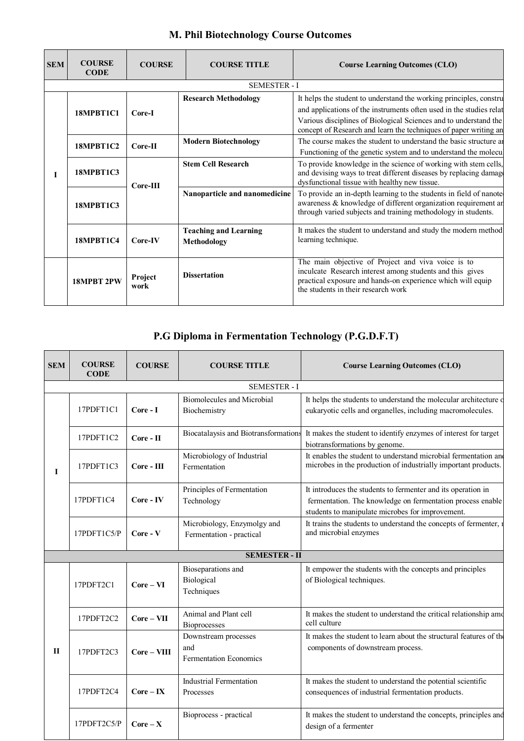| <b>SEM</b> | <b>COURSE</b><br><b>CODE</b> | <b>COURSE</b>   | <b>COURSE TITLE</b>                         | <b>Course Learning Outcomes (CLO)</b>                                                                                                                                                                                                                                                |
|------------|------------------------------|-----------------|---------------------------------------------|--------------------------------------------------------------------------------------------------------------------------------------------------------------------------------------------------------------------------------------------------------------------------------------|
|            |                              |                 | <b>SEMESTER - I</b>                         |                                                                                                                                                                                                                                                                                      |
|            | 18MPBT1C1                    | Core-I          | <b>Research Methodology</b>                 | It helps the student to understand the working principles, construent<br>and applications of the instruments often used in the studies relat<br>Various disciplines of Biological Sciences and to understand the<br>concept of Research and learn the techniques of paper writing an |
|            | 18MPBT1C2                    | Core-II         | <b>Modern Biotechnology</b>                 | The course makes the student to understand the basic structure and<br>Functioning of the genetic system and to understand the molecul                                                                                                                                                |
|            | <b>18MPBT1C3</b>             | $Core-III$      | <b>Stem Cell Research</b>                   | To provide knowledge in the science of working with stem cells,<br>and devising ways to treat different diseases by replacing damage<br>dysfunctional tissue with healthy new tissue.                                                                                                |
|            | <b>18MPBT1C3</b>             |                 | Nanoparticle and nanomedicine               | To provide an in-depth learning to the students in field of nanote<br>awareness & knowledge of different organization requirement an<br>through varied subjects and training methodology in students.                                                                                |
|            | 18MPBT1C4                    | Core-IV         | <b>Teaching and Learning</b><br>Methodology | It makes the student to understand and study the modern method<br>learning technique.                                                                                                                                                                                                |
|            | <b>18MPRT 2PW</b>            | Project<br>work | <b>Dissertation</b>                         | The main objective of Project and viva voice is to<br>inculcate Research interest among students and this gives<br>practical exposure and hands-on experience which will equip<br>the students in their research work                                                                |

### **M. Phil Biotechnology Course Outcomes**

# **P.G Diploma in Fermentation Technology (P.G.D.F.T)**

| <b>SEM</b> | <b>COURSE</b><br><b>CODE</b> | <b>COURSE</b> | <b>COURSE TITLE</b>                                          | <b>Course Learning Outcomes (CLO)</b>                                                                                                                                          |  |  |  |  |
|------------|------------------------------|---------------|--------------------------------------------------------------|--------------------------------------------------------------------------------------------------------------------------------------------------------------------------------|--|--|--|--|
|            | <b>SEMESTER - I</b>          |               |                                                              |                                                                                                                                                                                |  |  |  |  |
| Т          | 17PDFT1C1                    | Core - I      | <b>Biomolecules and Microbial</b><br>Biochemistry            | It helps the students to understand the molecular architecture of<br>eukaryotic cells and organelles, including macromolecules.                                                |  |  |  |  |
|            | 17PDFT1C2                    | Core - II     | Biocatalaysis and Biotransformations                         | It makes the student to identify enzymes of interest for target<br>biotransformations by genome.                                                                               |  |  |  |  |
|            | 17PDFT1C3                    | Core - III    | Microbiology of Industrial<br>Fermentation                   | It enables the student to understand microbial fermentation and<br>microbes in the production of industrially important products.                                              |  |  |  |  |
|            | 17PDFT1C4                    | Core - IV     | Principles of Fermentation<br>Technology                     | It introduces the students to fermenter and its operation in<br>fermentation. The knowledge on fermentation process enable<br>students to manipulate microbes for improvement. |  |  |  |  |
|            | 17PDFT1C5/P                  | $Core - V$    | Microbiology, Enzymolgy and<br>Fermentation - practical      | It trains the students to understand the concepts of fermenter,<br>and microbial enzymes                                                                                       |  |  |  |  |
|            | <b>SEMESTER - II</b>         |               |                                                              |                                                                                                                                                                                |  |  |  |  |
| П          | 17PDFT2C1                    | $Core - VI$   | Bioseparations and<br>Biological<br>Techniques               | It empower the students with the concepts and principles<br>of Biological techniques.                                                                                          |  |  |  |  |
|            | 17PDFT2C2                    | $Core - VII$  | Animal and Plant cell<br><b>Bioprocesses</b>                 | It makes the student to understand the critical relationship amo<br>cell culture                                                                                               |  |  |  |  |
|            | 17PDFT2C3                    | $Core - VIII$ | Downstream processes<br>and<br><b>Fermentation Economics</b> | It makes the student to learn about the structural features of the<br>components of downstream process.                                                                        |  |  |  |  |
|            | 17PDFT2C4                    | $Core - IX$   | <b>Industrial Fermentation</b><br>Processes                  | It makes the student to understand the potential scientific<br>consequences of industrial fermentation products.                                                               |  |  |  |  |
|            | 17PDFT2C5/P                  | $Core - X$    | Bioprocess - practical                                       | It makes the student to understand the concepts, principles and<br>design of a fermenter                                                                                       |  |  |  |  |